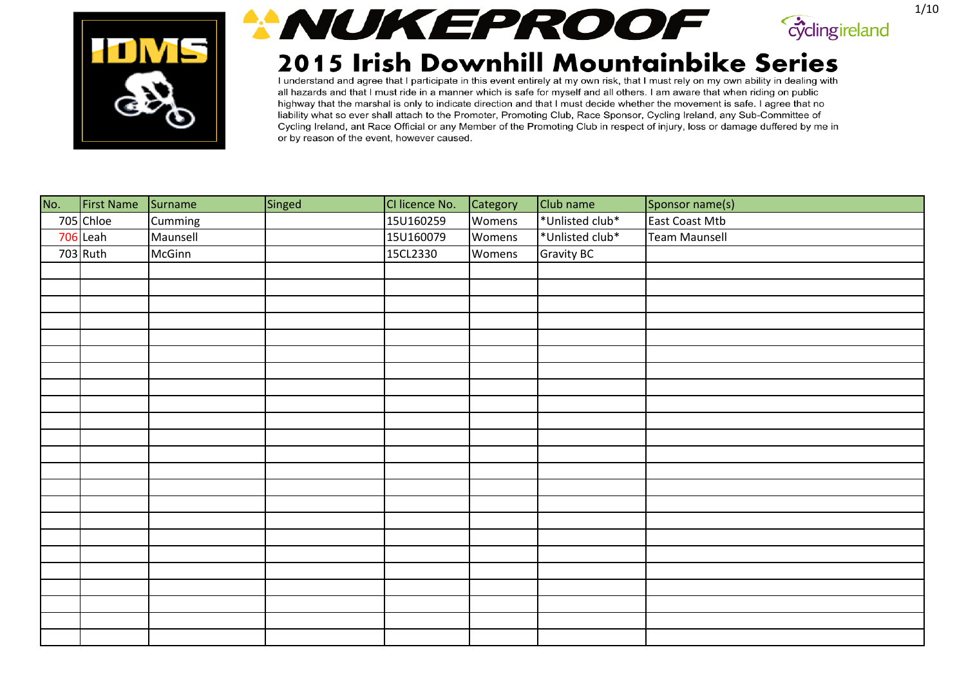





| No. | First Name Surname |          | Singed | CI licence No. | Category | Club name         | Sponsor name(s)      |
|-----|--------------------|----------|--------|----------------|----------|-------------------|----------------------|
|     | 705 Chloe          | Cumming  |        | 15U160259      | Womens   | *Unlisted club*   | East Coast Mtb       |
|     | 706 Leah           | Maunsell |        | 15U160079      | Womens   | *Unlisted club*   | <b>Team Maunsell</b> |
|     | 703 Ruth           | McGinn   |        | 15CL2330       | Womens   | <b>Gravity BC</b> |                      |
|     |                    |          |        |                |          |                   |                      |
|     |                    |          |        |                |          |                   |                      |
|     |                    |          |        |                |          |                   |                      |
|     |                    |          |        |                |          |                   |                      |
|     |                    |          |        |                |          |                   |                      |
|     |                    |          |        |                |          |                   |                      |
|     |                    |          |        |                |          |                   |                      |
|     |                    |          |        |                |          |                   |                      |
|     |                    |          |        |                |          |                   |                      |
|     |                    |          |        |                |          |                   |                      |
|     |                    |          |        |                |          |                   |                      |
|     |                    |          |        |                |          |                   |                      |
|     |                    |          |        |                |          |                   |                      |
|     |                    |          |        |                |          |                   |                      |
|     |                    |          |        |                |          |                   |                      |
|     |                    |          |        |                |          |                   |                      |
|     |                    |          |        |                |          |                   |                      |
|     |                    |          |        |                |          |                   |                      |
|     |                    |          |        |                |          |                   |                      |
|     |                    |          |        |                |          |                   |                      |
|     |                    |          |        |                |          |                   |                      |
|     |                    |          |        |                |          |                   |                      |
|     |                    |          |        |                |          |                   |                      |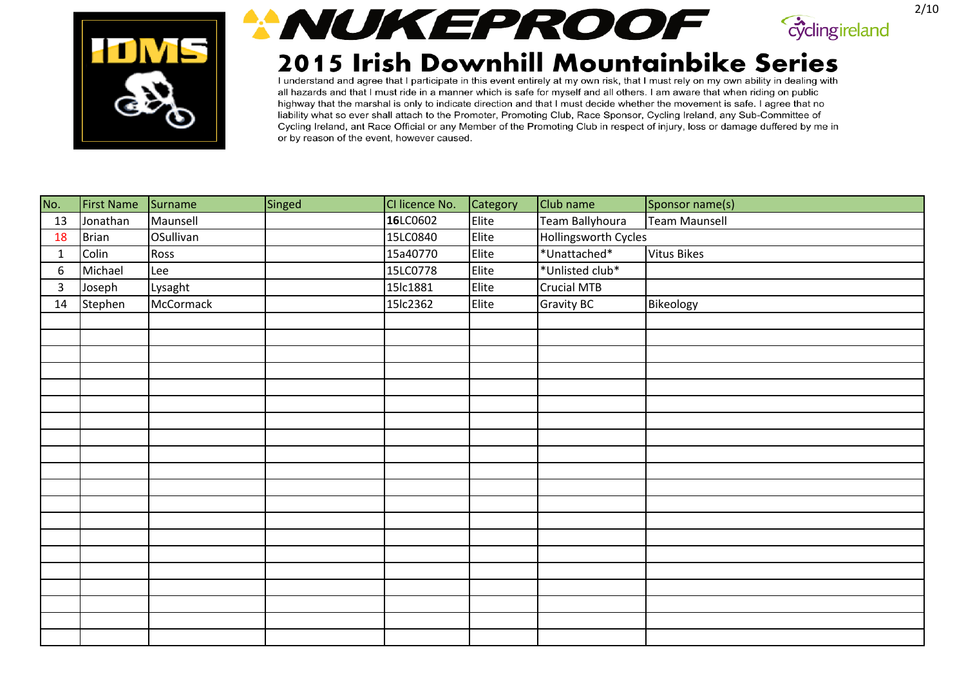





| No.          | <b>First Name</b> | Surname   | Singed | CI licence No. | Category | Club name            | Sponsor name(s)      |
|--------------|-------------------|-----------|--------|----------------|----------|----------------------|----------------------|
| 13           | Jonathan          | Maunsell  |        | 16LC0602       | Elite    | Team Ballyhoura      | <b>Team Maunsell</b> |
| 18           | <b>Brian</b>      | OSullivan |        | 15LC0840       | Elite    | Hollingsworth Cycles |                      |
| $\mathbf{1}$ | Colin             | Ross      |        | 15a40770       | Elite    | *Unattached*         | <b>Vitus Bikes</b>   |
| 6            | Michael           | Lee       |        | 15LC0778       | Elite    | *Unlisted club*      |                      |
| $\mathbf{3}$ | Joseph            | Lysaght   |        | 15lc1881       | Elite    | Crucial MTB          |                      |
| 14           | Stephen           | McCormack |        | 15lc2362       | Elite    | <b>Gravity BC</b>    | Bikeology            |
|              |                   |           |        |                |          |                      |                      |
|              |                   |           |        |                |          |                      |                      |
|              |                   |           |        |                |          |                      |                      |
|              |                   |           |        |                |          |                      |                      |
|              |                   |           |        |                |          |                      |                      |
|              |                   |           |        |                |          |                      |                      |
|              |                   |           |        |                |          |                      |                      |
|              |                   |           |        |                |          |                      |                      |
|              |                   |           |        |                |          |                      |                      |
|              |                   |           |        |                |          |                      |                      |
|              |                   |           |        |                |          |                      |                      |
|              |                   |           |        |                |          |                      |                      |
|              |                   |           |        |                |          |                      |                      |
|              |                   |           |        |                |          |                      |                      |
|              |                   |           |        |                |          |                      |                      |
|              |                   |           |        |                |          |                      |                      |
|              |                   |           |        |                |          |                      |                      |
|              |                   |           |        |                |          |                      |                      |
|              |                   |           |        |                |          |                      |                      |
|              |                   |           |        |                |          |                      |                      |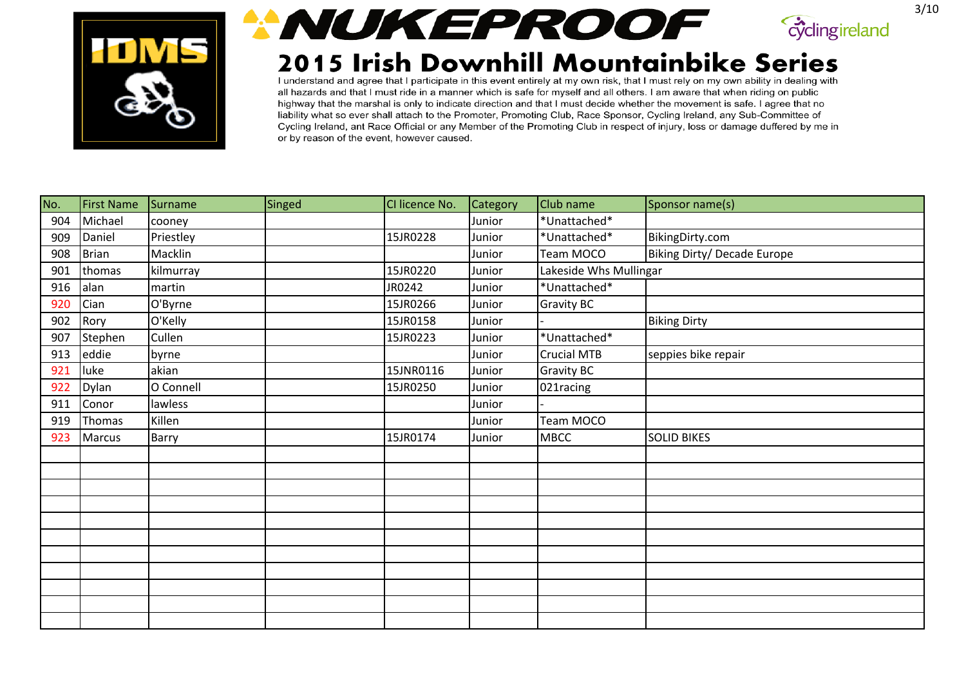





| No. | <b>First Name</b> | Surname   | Singed | CI licence No. | Category | Club name              | Sponsor name(s)             |
|-----|-------------------|-----------|--------|----------------|----------|------------------------|-----------------------------|
| 904 | Michael           | cooney    |        |                | Junior   | *Unattached*           |                             |
| 909 | Daniel            | Priestley |        | 15JR0228       | Junior   | *Unattached*           | BikingDirty.com             |
| 908 | <b>Brian</b>      | Macklin   |        |                | Junior   | Team MOCO              | Biking Dirty/ Decade Europe |
| 901 | thomas            | kilmurray |        | 15JR0220       | Junior   | Lakeside Whs Mullingar |                             |
| 916 | alan              | martin    |        | JR0242         | Junior   | *Unattached*           |                             |
| 920 | Cian              | O'Byrne   |        | 15JR0266       | Junior   | <b>Gravity BC</b>      |                             |
| 902 | Rory              | O'Kelly   |        | 15JR0158       | Junior   |                        | <b>Biking Dirty</b>         |
| 907 | Stephen           | Cullen    |        | 15JR0223       | Junior   | *Unattached*           |                             |
| 913 | eddie             | byrne     |        |                | Junior   | <b>Crucial MTB</b>     | seppies bike repair         |
| 921 | luke              | akian     |        | 15JNR0116      | Junior   | <b>Gravity BC</b>      |                             |
| 922 | Dylan             | O Connell |        | 15JR0250       | Junior   | 021racing              |                             |
| 911 | Conor             | lawless   |        |                | Junior   |                        |                             |
| 919 | Thomas            | Killen    |        |                | Junior   | Team MOCO              |                             |
| 923 | Marcus            | Barry     |        | 15JR0174       | Junior   | <b>MBCC</b>            | <b>SOLID BIKES</b>          |
|     |                   |           |        |                |          |                        |                             |
|     |                   |           |        |                |          |                        |                             |
|     |                   |           |        |                |          |                        |                             |
|     |                   |           |        |                |          |                        |                             |
|     |                   |           |        |                |          |                        |                             |
|     |                   |           |        |                |          |                        |                             |
|     |                   |           |        |                |          |                        |                             |
|     |                   |           |        |                |          |                        |                             |
|     |                   |           |        |                |          |                        |                             |
|     |                   |           |        |                |          |                        |                             |
|     |                   |           |        |                |          |                        |                             |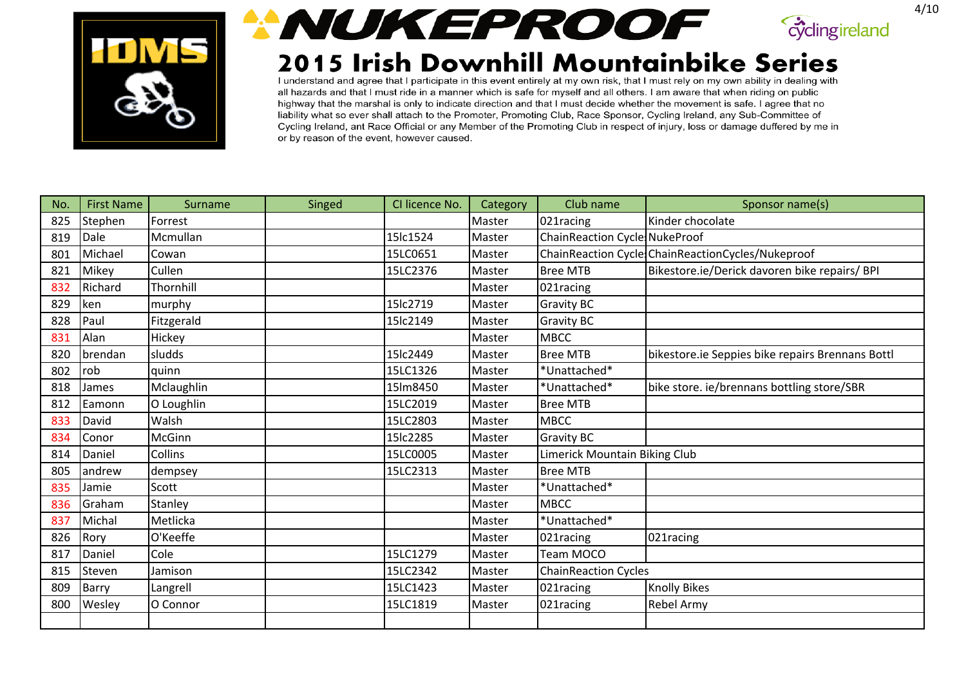





| No. | <b>First Name</b> | Surname    | Singed | CI licence No. | Category | Club name                            | Sponsor name(s)                                   |
|-----|-------------------|------------|--------|----------------|----------|--------------------------------------|---------------------------------------------------|
| 825 | Stephen           | Forrest    |        |                | Master   | 021racing                            | Kinder chocolate                                  |
| 819 | Dale              | Mcmullan   |        | 15lc1524       | Master   | <b>ChainReaction Cycle NukeProof</b> |                                                   |
| 801 | Michael           | Cowan      |        | 15LC0651       | Master   |                                      | ChainReaction Cycle ChainReactionCycles/Nukeproof |
| 821 | Mikey             | Cullen     |        | 15LC2376       | Master   | <b>Bree MTB</b>                      | Bikestore.ie/Derick davoren bike repairs/ BPI     |
| 832 | Richard           | Thornhill  |        |                | Master   | 021racing                            |                                                   |
| 829 | ken               | murphy     |        | 15lc2719       | Master   | <b>Gravity BC</b>                    |                                                   |
| 828 | Paul              | Fitzgerald |        | 15lc2149       | Master   | <b>Gravity BC</b>                    |                                                   |
| 831 | Alan              | Hickey     |        |                | Master   | <b>MBCC</b>                          |                                                   |
| 820 | brendan           | sludds     |        | 15lc2449       | Master   | <b>Bree MTB</b>                      | bikestore.ie Seppies bike repairs Brennans Bottl  |
| 802 | rob               | quinn      |        | 15LC1326       | Master   | *Unattached*                         |                                                   |
| 818 | James             | Mclaughlin |        | 15lm8450       | Master   | *Unattached*                         | bike store. ie/brennans bottling store/SBR        |
| 812 | Eamonn            | O Loughlin |        | 15LC2019       | Master   | <b>Bree MTB</b>                      |                                                   |
| 833 | David             | Walsh      |        | 15LC2803       | Master   | <b>MBCC</b>                          |                                                   |
| 834 | Conor             | McGinn     |        | 15lc2285       | Master   | <b>Gravity BC</b>                    |                                                   |
| 814 | Daniel            | Collins    |        | 15LC0005       | Master   | Limerick Mountain Biking Club        |                                                   |
| 805 | andrew            | dempsey    |        | 15LC2313       | Master   | <b>Bree MTB</b>                      |                                                   |
| 835 | Jamie             | Scott      |        |                | Master   | *Unattached*                         |                                                   |
| 836 | Graham            | Stanley    |        |                | Master   | <b>MBCC</b>                          |                                                   |
| 837 | Michal            | Metlicka   |        |                | Master   | *Unattached*                         |                                                   |
| 826 | Rory              | O'Keeffe   |        |                | Master   | 021racing                            | 021racing                                         |
| 817 | Daniel            | Cole       |        | 15LC1279       | Master   | Team MOCO                            |                                                   |
| 815 | Steven            | Jamison    |        | 15LC2342       | Master   | <b>ChainReaction Cycles</b>          |                                                   |
| 809 | <b>Barry</b>      | Langrell   |        | 15LC1423       | Master   | 021racing                            | <b>Knolly Bikes</b>                               |
| 800 | Wesley            | O Connor   |        | 15LC1819       | Master   | 021racing                            | <b>Rebel Army</b>                                 |
|     |                   |            |        |                |          |                                      |                                                   |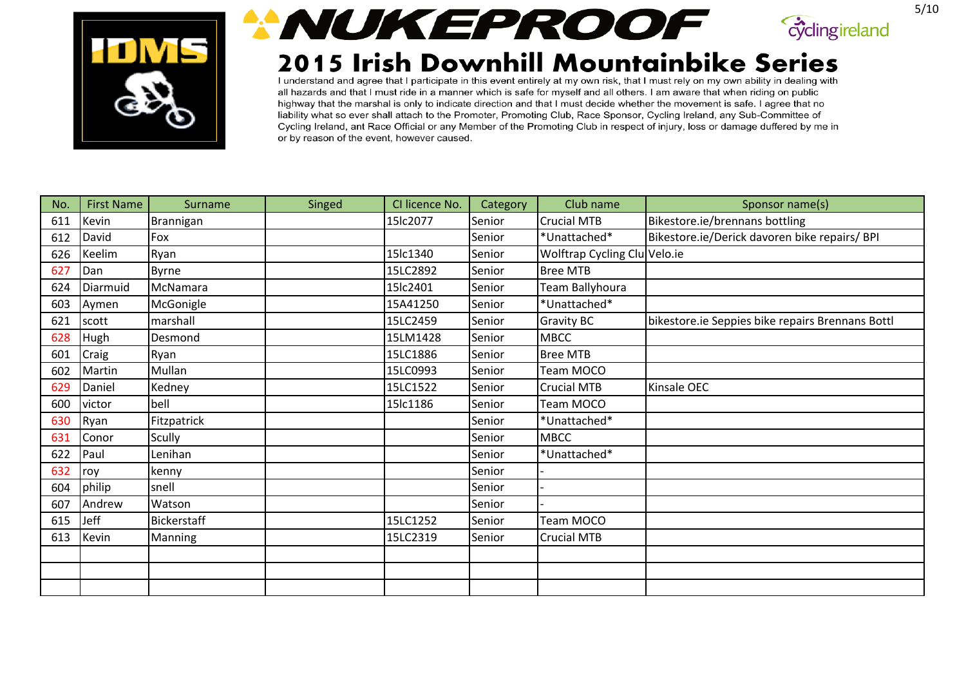





| No. | <b>First Name</b> | Surname      | Singed | CI licence No. | Category | Club name                    | Sponsor name(s)                                  |
|-----|-------------------|--------------|--------|----------------|----------|------------------------------|--------------------------------------------------|
| 611 | Kevin             | Brannigan    |        | 15lc2077       | Senior   | <b>Crucial MTB</b>           | Bikestore.ie/brennans bottling                   |
| 612 | David             | Fox          |        |                | Senior   | *Unattached*                 | Bikestore.ie/Derick davoren bike repairs/ BPI    |
| 626 | Keelim            | Ryan         |        | 15lc1340       | Senior   | Wolftrap Cycling Clu Velo.ie |                                                  |
| 627 | Dan               | <b>Byrne</b> |        | 15LC2892       | Senior   | <b>Bree MTB</b>              |                                                  |
| 624 | Diarmuid          | McNamara     |        | 15lc2401       | Senior   | Team Ballyhoura              |                                                  |
| 603 | Aymen             | McGonigle    |        | 15A41250       | Senior   | *Unattached*                 |                                                  |
| 621 | scott             | marshall     |        | 15LC2459       | Senior   | <b>Gravity BC</b>            | bikestore.ie Seppies bike repairs Brennans Bottl |
| 628 | Hugh              | Desmond      |        | 15LM1428       | Senior   | <b>MBCC</b>                  |                                                  |
| 601 | Craig             | Ryan         |        | 15LC1886       | Senior   | <b>Bree MTB</b>              |                                                  |
| 602 | Martin            | Mullan       |        | 15LC0993       | Senior   | Team MOCO                    |                                                  |
| 629 | Daniel            | Kedney       |        | 15LC1522       | Senior   | <b>Crucial MTB</b>           | Kinsale OEC                                      |
| 600 | victor            | bell         |        | 15lc1186       | Senior   | Team MOCO                    |                                                  |
| 630 | Ryan              | Fitzpatrick  |        |                | Senior   | *Unattached*                 |                                                  |
| 631 | Conor             | Scully       |        |                | Senior   | <b>MBCC</b>                  |                                                  |
| 622 | Paul              | Lenihan      |        |                | Senior   | *Unattached*                 |                                                  |
| 632 | roy               | kenny        |        |                | Senior   |                              |                                                  |
| 604 | philip            | snell        |        |                | Senior   |                              |                                                  |
| 607 | Andrew            | Watson       |        |                | Senior   |                              |                                                  |
| 615 | <b>Jeff</b>       | Bickerstaff  |        | 15LC1252       | Senior   | Team MOCO                    |                                                  |
| 613 | Kevin             | Manning      |        | 15LC2319       | Senior   | <b>Crucial MTB</b>           |                                                  |
|     |                   |              |        |                |          |                              |                                                  |
|     |                   |              |        |                |          |                              |                                                  |
|     |                   |              |        |                |          |                              |                                                  |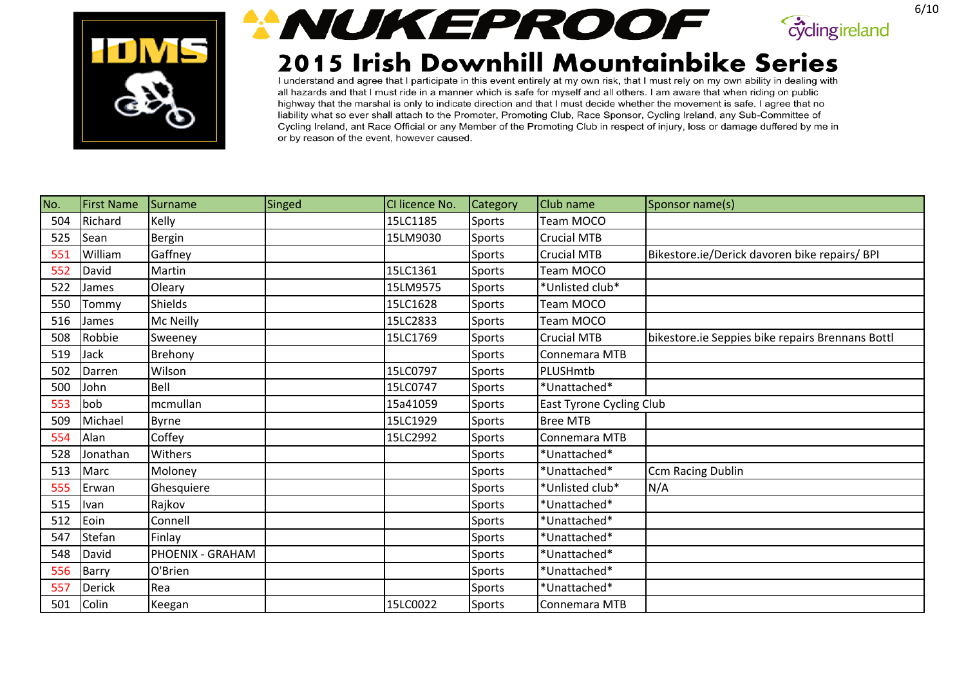



## 2015 Irish Downhill Mountainbike Series

I understand and agree that I participate in this event entirely at my own risk, that I must rely on my own ability in dealing with all hazards and that I must ride in a manner which is safe for myself and all others. I am aware that when riding on public highway that the marshal is only to indicate direction and that I must decide whether the movement is safe. I agree that no liability what so ever shall attach to the Promoter, Promoting Club, Race Sponsor, Cycling Ireland, any Sub-Committee of Cycling Ireland, ant Race Official or any Member of the Promoting Club in respect of injury, loss or damage duffered by me in or by reason of the event, however caused.

| No. | <b>First Name</b> | Surname          | Singed | CI licence No. | <b>Category</b> | <b>Club</b> name         | Sponsor name(s)                                  |
|-----|-------------------|------------------|--------|----------------|-----------------|--------------------------|--------------------------------------------------|
| 504 | Richard           | Kelly            |        | 15LC1185       | Sports          | Team MOCO                |                                                  |
| 525 | Sean              | Bergin           |        | 15LM9030       | Sports          | <b>Crucial MTB</b>       |                                                  |
| 551 | William           | Gaffney          |        |                | Sports          | <b>Crucial MTB</b>       | Bikestore.ie/Derick davoren bike repairs/ BPI    |
| 552 | David             | Martin           |        | 15LC1361       | Sports          | Team MOCO                |                                                  |
| 522 | James             | Oleary           |        | 15LM9575       | Sports          | *Unlisted club*          |                                                  |
| 550 | Tommy             | Shields          |        | 15LC1628       | Sports          | Team MOCO                |                                                  |
| 516 | James             | Mc Neilly        |        | 15LC2833       | Sports          | Team MOCO                |                                                  |
| 508 | Robbie            | Sweeney          |        | 15LC1769       | Sports          | <b>Crucial MTB</b>       | bikestore.ie Seppies bike repairs Brennans Bottl |
| 519 | Jack              | Brehony          |        |                | Sports          | Connemara MTB            |                                                  |
| 502 | Darren            | Wilson           |        | 15LC0797       | Sports          | PLUSHmtb                 |                                                  |
| 500 | John              | Bell             |        | 15LC0747       | Sports          | *Unattached*             |                                                  |
| 553 | bob               | mcmullan         |        | 15a41059       | Sports          | East Tyrone Cycling Club |                                                  |
| 509 | Michael           | Byrne            |        | 15LC1929       | Sports          | <b>Bree MTB</b>          |                                                  |
| 554 | Alan              | Coffey           |        | 15LC2992       | Sports          | Connemara MTB            |                                                  |
| 528 | Jonathan          | Withers          |        |                | Sports          | *Unattached*             |                                                  |
| 513 | Marc              | Moloney          |        |                | Sports          | *Unattached*             | <b>Ccm Racing Dublin</b>                         |
| 555 | Erwan             | Ghesquiere       |        |                | Sports          | *Unlisted club*          | N/A                                              |
| 515 | Ivan              | Rajkov           |        |                | Sports          | *Unattached*             |                                                  |
| 512 | Eoin              | Connell          |        |                | Sports          | *Unattached*             |                                                  |
| 547 | <b>Stefan</b>     | Finlay           |        |                | Sports          | *Unattached*             |                                                  |
| 548 | David             | PHOENIX - GRAHAM |        |                | Sports          | *Unattached*             |                                                  |
| 556 | Barry             | O'Brien          |        |                | Sports          | *Unattached*             |                                                  |
| 557 | <b>Derick</b>     | Rea              |        |                | Sports          | *Unattached*             |                                                  |
| 501 | Colin             | Keegan           |        | 15LC0022       | Sports          | Connemara MTB            |                                                  |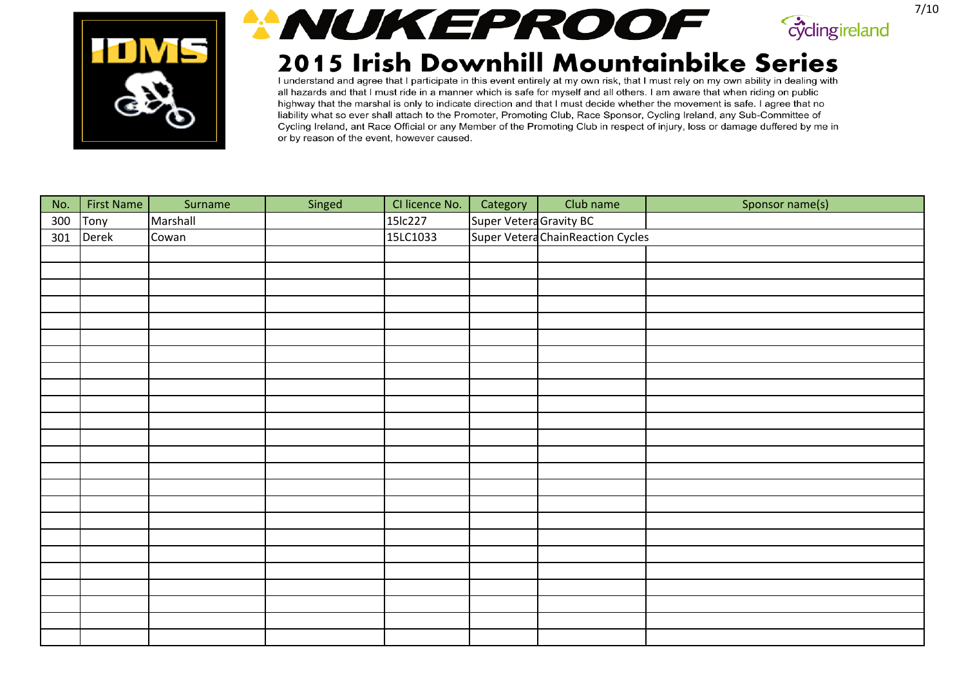





| No. | <b>First Name</b> | Surname  | Singed | CI licence No. | Category                | Club name                         | Sponsor name(s) |
|-----|-------------------|----------|--------|----------------|-------------------------|-----------------------------------|-----------------|
| 300 | Tony              | Marshall |        | 15lc227        | Super Vetera Gravity BC |                                   |                 |
| 301 | Derek             | Cowan    |        | 15LC1033       |                         | Super Vetera ChainReaction Cycles |                 |
|     |                   |          |        |                |                         |                                   |                 |
|     |                   |          |        |                |                         |                                   |                 |
|     |                   |          |        |                |                         |                                   |                 |
|     |                   |          |        |                |                         |                                   |                 |
|     |                   |          |        |                |                         |                                   |                 |
|     |                   |          |        |                |                         |                                   |                 |
|     |                   |          |        |                |                         |                                   |                 |
|     |                   |          |        |                |                         |                                   |                 |
|     |                   |          |        |                |                         |                                   |                 |
|     |                   |          |        |                |                         |                                   |                 |
|     |                   |          |        |                |                         |                                   |                 |
|     |                   |          |        |                |                         |                                   |                 |
|     |                   |          |        |                |                         |                                   |                 |
|     |                   |          |        |                |                         |                                   |                 |
|     |                   |          |        |                |                         |                                   |                 |
|     |                   |          |        |                |                         |                                   |                 |
|     |                   |          |        |                |                         |                                   |                 |
|     |                   |          |        |                |                         |                                   |                 |
|     |                   |          |        |                |                         |                                   |                 |
|     |                   |          |        |                |                         |                                   |                 |
|     |                   |          |        |                |                         |                                   |                 |
|     |                   |          |        |                |                         |                                   |                 |
|     |                   |          |        |                |                         |                                   |                 |
|     |                   |          |        |                |                         |                                   |                 |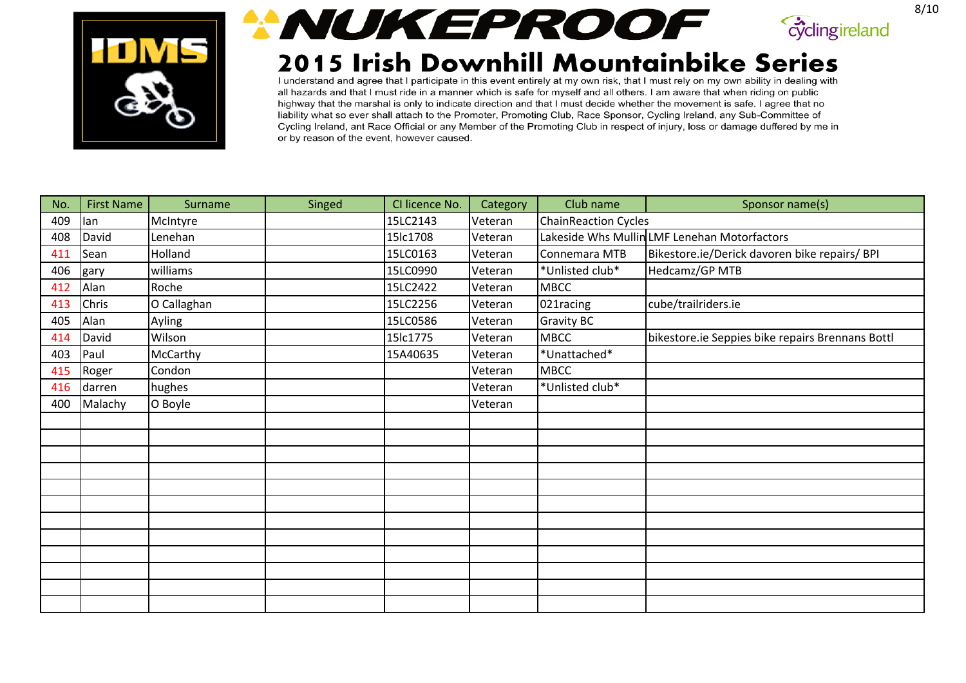





| No. | <b>First Name</b> | Surname     | Singed | CI licence No. | Category | Club name                   | Sponsor name(s)                                  |
|-----|-------------------|-------------|--------|----------------|----------|-----------------------------|--------------------------------------------------|
| 409 | lan               | McIntyre    |        | 15LC2143       | Veteran  | <b>ChainReaction Cycles</b> |                                                  |
| 408 | David             | Lenehan     |        | 15lc1708       | Veteran  |                             | Lakeside Whs Mullin LMF Lenehan Motorfactors     |
| 411 | Sean              | Holland     |        | 15LC0163       | Veteran  | Connemara MTB               | Bikestore.ie/Derick davoren bike repairs/ BPI    |
| 406 | gary              | williams    |        | 15LC0990       | Veteran  | *Unlisted club*             | Hedcamz/GP MTB                                   |
| 412 | Alan              | Roche       |        | 15LC2422       | Veteran  | <b>MBCC</b>                 |                                                  |
| 413 | Chris             | O Callaghan |        | 15LC2256       | Veteran  | 021racing                   | cube/trailriders.ie                              |
| 405 | Alan              | Ayling      |        | 15LC0586       | Veteran  | <b>Gravity BC</b>           |                                                  |
| 414 | David             | Wilson      |        | 15lc1775       | Veteran  | <b>MBCC</b>                 | bikestore.ie Seppies bike repairs Brennans Bottl |
| 403 | Paul              | McCarthy    |        | 15A40635       | Veteran  | *Unattached*                |                                                  |
| 415 | Roger             | Condon      |        |                | Veteran  | <b>MBCC</b>                 |                                                  |
| 416 | darren            | hughes      |        |                | Veteran  | *Unlisted club*             |                                                  |
| 400 | Malachy           | O Boyle     |        |                | Veteran  |                             |                                                  |
|     |                   |             |        |                |          |                             |                                                  |
|     |                   |             |        |                |          |                             |                                                  |
|     |                   |             |        |                |          |                             |                                                  |
|     |                   |             |        |                |          |                             |                                                  |
|     |                   |             |        |                |          |                             |                                                  |
|     |                   |             |        |                |          |                             |                                                  |
|     |                   |             |        |                |          |                             |                                                  |
|     |                   |             |        |                |          |                             |                                                  |
|     |                   |             |        |                |          |                             |                                                  |
|     |                   |             |        |                |          |                             |                                                  |
|     |                   |             |        |                |          |                             |                                                  |
|     |                   |             |        |                |          |                             |                                                  |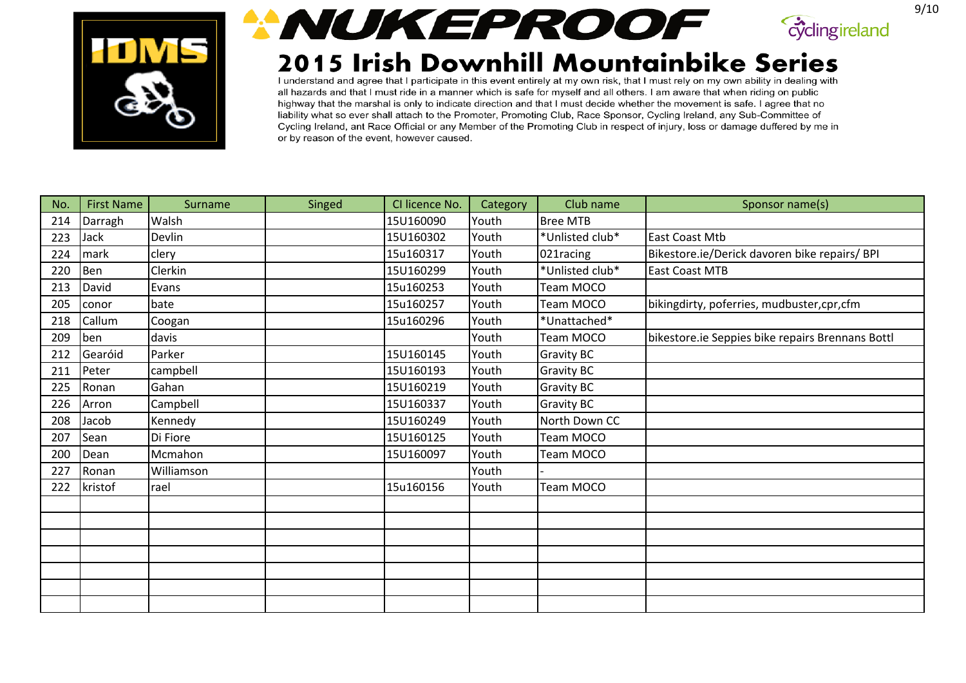





| No. | <b>First Name</b> | Surname    | Singed | CI licence No. | Category | Club name       | Sponsor name(s)                                  |
|-----|-------------------|------------|--------|----------------|----------|-----------------|--------------------------------------------------|
| 214 | Darragh           | Walsh      |        | 15U160090      | Youth    | <b>Bree MTB</b> |                                                  |
| 223 | Jack              | Devlin     |        | 15U160302      | Youth    | *Unlisted club* | <b>East Coast Mtb</b>                            |
| 224 | mark              | clery      |        | 15u160317      | Youth    | 021racing       | Bikestore.ie/Derick davoren bike repairs/ BPI    |
| 220 | Ben               | Clerkin    |        | 15U160299      | Youth    | *Unlisted club* | <b>East Coast MTB</b>                            |
| 213 | David             | Evans      |        | 15u160253      | Youth    | Team MOCO       |                                                  |
| 205 | conor             | bate       |        | 15u160257      | Youth    | Team MOCO       | bikingdirty, poferries, mudbuster, cpr, cfm      |
| 218 | Callum            | Coogan     |        | 15u160296      | Youth    | *Unattached*    |                                                  |
| 209 | ben               | davis      |        |                | Youth    | Team MOCO       | bikestore.ie Seppies bike repairs Brennans Bottl |
| 212 | Gearóid           | Parker     |        | 15U160145      | Youth    | Gravity BC      |                                                  |
| 211 | Peter             | campbell   |        | 15U160193      | Youth    | Gravity BC      |                                                  |
| 225 | Ronan             | Gahan      |        | 15U160219      | Youth    | Gravity BC      |                                                  |
| 226 | Arron             | Campbell   |        | 15U160337      | Youth    | Gravity BC      |                                                  |
| 208 | Jacob             | Kennedy    |        | 15U160249      | Youth    | North Down CC   |                                                  |
| 207 | Sean              | Di Fiore   |        | 15U160125      | Youth    | Team MOCO       |                                                  |
| 200 | Dean              | Mcmahon    |        | 15U160097      | Youth    | Team MOCO       |                                                  |
| 227 | Ronan             | Williamson |        |                | Youth    |                 |                                                  |
| 222 | kristof           | rael       |        | 15u160156      | Youth    | Team MOCO       |                                                  |
|     |                   |            |        |                |          |                 |                                                  |
|     |                   |            |        |                |          |                 |                                                  |
|     |                   |            |        |                |          |                 |                                                  |
|     |                   |            |        |                |          |                 |                                                  |
|     |                   |            |        |                |          |                 |                                                  |
|     |                   |            |        |                |          |                 |                                                  |
|     |                   |            |        |                |          |                 |                                                  |